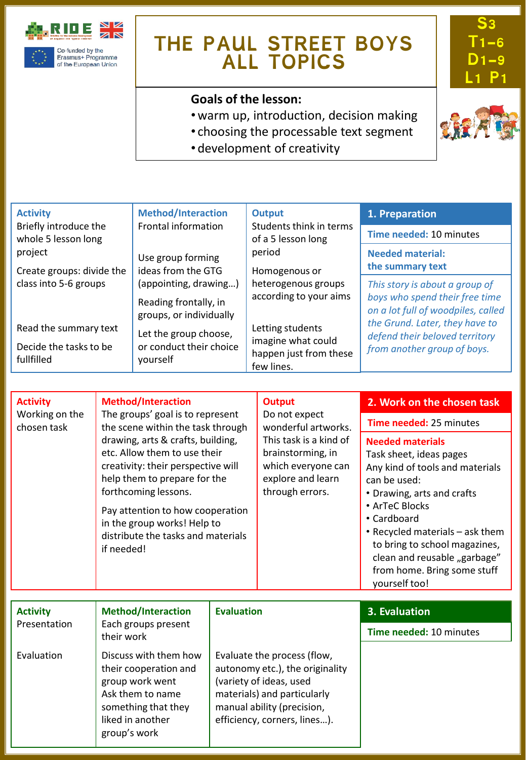

## **THE PAUL STREET BOYS ALL TOPICS**

## **Goals of the lesson:**

- •warm up, introduction, decision making
- choosing the processable text segment
- development of creativity



**S3 T1-6 D1-9** 

**L1 P1**

*This story is about a group of boys who spend their free time on a lot full of woodpiles, called the Grund. Later, they have to defend their beloved territory from another group of boys.* Activity **1. Preparation 1. Activity 1. Preparation** Briefly introduce the whole 5 lesson long project Create groups: divide the class into 5-6 groups Read the summary text Decide the tasks to be fullfilled Frontal information Use group forming ideas from the GTG (appointing, drawing…) Reading frontally, in groups, or individually Let the group choose, or conduct their choice yourself **Output** Students think in terms of a 5 lesson long period Homogenous or heterogenous groups according to your aims Letting students imagine what could happen just from these few lines. **Time needed:** 10 minutes **Needed material: the summary text**

| <b>Activity</b><br>Working on the<br>chosen task | <b>Method/Interaction</b><br>etc. Allow them to use their<br>help them to prepare for the<br>forthcoming lessons.<br>in the group works! Help to<br>if needed! | The groups' goal is to represent<br>the scene within the task through<br>drawing, arts & crafts, building,<br>creativity: their perspective will<br>Pay attention to how cooperation<br>distribute the tasks and materials |  | 2. Work on the chosen task<br>Time needed: 25 minutes<br><b>Needed materials</b><br>Task sheet, ideas pages<br>Any kind of tools and materials<br>can be used:<br>• Drawing, arts and crafts<br>• ArTeC Blocks<br>• Cardboard<br>• Recycled materials - ask them<br>to bring to school magazines,<br>clean and reusable "garbage"<br>from home. Bring some stuff<br>yourself too! |
|--------------------------------------------------|----------------------------------------------------------------------------------------------------------------------------------------------------------------|----------------------------------------------------------------------------------------------------------------------------------------------------------------------------------------------------------------------------|--|-----------------------------------------------------------------------------------------------------------------------------------------------------------------------------------------------------------------------------------------------------------------------------------------------------------------------------------------------------------------------------------|
|                                                  |                                                                                                                                                                |                                                                                                                                                                                                                            |  |                                                                                                                                                                                                                                                                                                                                                                                   |
| <b>Activity</b>                                  | <b>Method/Interaction</b>                                                                                                                                      | <b>Evaluation</b>                                                                                                                                                                                                          |  | 3. Evaluation                                                                                                                                                                                                                                                                                                                                                                     |
| Presentation                                     | Each groups present<br>their work                                                                                                                              |                                                                                                                                                                                                                            |  | Time needed: 10 minutes                                                                                                                                                                                                                                                                                                                                                           |
| Evaluation                                       | Discuss with them how<br>their cooperation and<br>group work went<br>Ask them to name<br>something that they<br>liked in another<br>group's work               | Evaluate the process (flow,<br>autonomy etc.), the originality<br>(variety of ideas, used<br>materials) and particularly<br>manual ability (precision,<br>efficiency, corners, lines).                                     |  |                                                                                                                                                                                                                                                                                                                                                                                   |